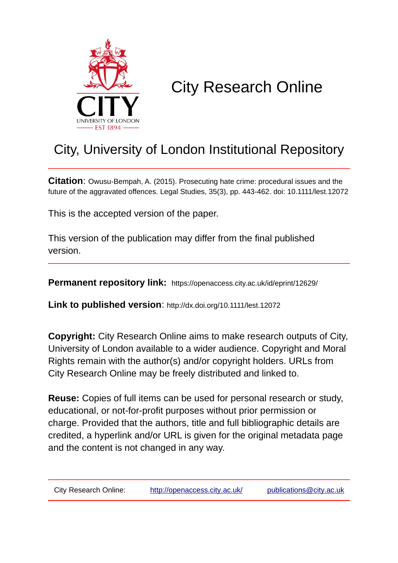

# City Research Online

# City, University of London Institutional Repository

**Citation**: Owusu-Bempah, A. (2015). Prosecuting hate crime: procedural issues and the future of the aggravated offences. Legal Studies, 35(3), pp. 443-462. doi: 10.1111/lest.12072

This is the accepted version of the paper.

This version of the publication may differ from the final published version.

**Permanent repository link:** https://openaccess.city.ac.uk/id/eprint/12629/

**Link to published version**: http://dx.doi.org/10.1111/lest.12072

**Copyright:** City Research Online aims to make research outputs of City, University of London available to a wider audience. Copyright and Moral Rights remain with the author(s) and/or copyright holders. URLs from City Research Online may be freely distributed and linked to.

**Reuse:** Copies of full items can be used for personal research or study, educational, or not-for-profit purposes without prior permission or charge. Provided that the authors, title and full bibliographic details are credited, a hyperlink and/or URL is given for the original metadata page and the content is not changed in any way.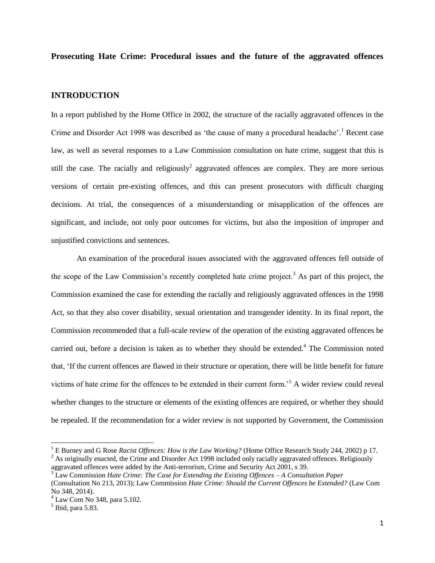**Prosecuting Hate Crime: Procedural issues and the future of the aggravated offences**

## **INTRODUCTION**

In a report published by the Home Office in 2002, the structure of the racially aggravated offences in the Crime and Disorder Act 1998 was described as 'the cause of many a procedural headache'.<sup>1</sup> Recent case law, as well as several responses to a Law Commission consultation on hate crime, suggest that this is still the case. The racially and religiously<sup>2</sup> aggravated offences are complex. They are more serious versions of certain pre-existing offences, and this can present prosecutors with difficult charging decisions. At trial, the consequences of a misunderstanding or misapplication of the offences are significant, and include, not only poor outcomes for victims, but also the imposition of improper and unjustified convictions and sentences.

An examination of the procedural issues associated with the aggravated offences fell outside of the scope of the Law Commission's recently completed hate crime project.<sup>3</sup> As part of this project, the Commission examined the case for extending the racially and religiously aggravated offences in the 1998 Act, so that they also cover disability, sexual orientation and transgender identity. In its final report, the Commission recommended that a full-scale review of the operation of the existing aggravated offences be carried out, before a decision is taken as to whether they should be extended.<sup>4</sup> The Commission noted that, 'If the current offences are flawed in their structure or operation, there will be little benefit for future victims of hate crime for the offences to be extended in their current form.'<sup>5</sup> A wider review could reveal whether changes to the structure or elements of the existing offences are required, or whether they should be repealed. If the recommendation for a wider review is not supported by Government, the Commission

<sup>1</sup> E Burney and G Rose *Racist Offences: How is the Law Working?* (Home Office Research Study 244, 2002) p 17.

 $2$  As originally enacted, the Crime and Disorder Act 1998 included only racially aggravated offences. Religiously aggravated offences were added by the Anti-terrorism, Crime and Security Act 2001, s 39.

<sup>3</sup> Law Commission *Hate Crime: The Case for Extending the Existing Offences – A Consultation Paper* (Consultation No 213, 2013); Law Commission *Hate Crime: Should the Current Offences be Extended?* (Law Com No 348, 2014).

 $4$  Law Com No 348, para 5.102.

 $<sup>5</sup>$  Ibid, para 5.83.</sup>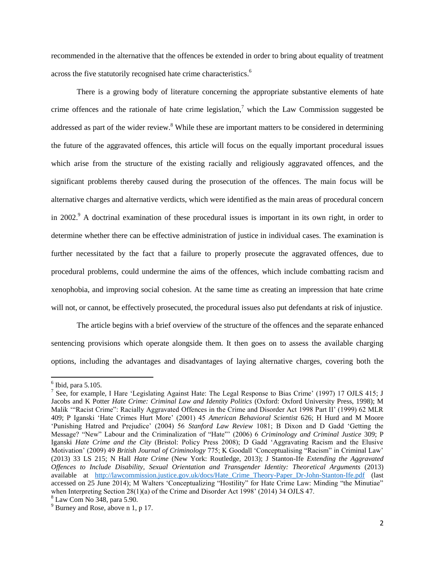recommended in the alternative that the offences be extended in order to bring about equality of treatment across the five statutorily recognised hate crime characteristics.<sup>6</sup>

There is a growing body of literature concerning the appropriate substantive elements of hate crime offences and the rationale of hate crime legislation,<sup>7</sup> which the Law Commission suggested be addressed as part of the wider review.<sup>8</sup> While these are important matters to be considered in determining the future of the aggravated offences, this article will focus on the equally important procedural issues which arise from the structure of the existing racially and religiously aggravated offences, and the significant problems thereby caused during the prosecution of the offences. The main focus will be alternative charges and alternative verdicts, which were identified as the main areas of procedural concern in 2002.<sup>9</sup> A doctrinal examination of these procedural issues is important in its own right, in order to determine whether there can be effective administration of justice in individual cases. The examination is further necessitated by the fact that a failure to properly prosecute the aggravated offences, due to procedural problems, could undermine the aims of the offences, which include combatting racism and xenophobia, and improving social cohesion. At the same time as creating an impression that hate crime will not, or cannot, be effectively prosecuted, the procedural issues also put defendants at risk of injustice.

The article begins with a brief overview of the structure of the offences and the separate enhanced sentencing provisions which operate alongside them. It then goes on to assess the available charging options, including the advantages and disadvantages of laying alternative charges, covering both the

 $<sup>6</sup>$  Ibid, para 5.105.</sup>

<sup>&</sup>lt;sup>7</sup> See, for example, I Hare 'Legislating Against Hate: The Legal Response to Bias Crime' (1997) 17 OJLS 415; J Jacobs and K Potter *Hate Crime: Criminal Law and Identity Politics* (Oxford: Oxford University Press, 1998); M Malik '"Racist Crime": Racially Aggravated Offences in the Crime and Disorder Act 1998 Part II' (1999) 62 MLR 409; P Iganski 'Hate Crimes Hurt More' (2001) 45 *American Behavioral Scientist* 626; H Hurd and M Moore 'Punishing Hatred and Prejudice' (2004) 56 *Stanford Law Review* 1081; B Dixon and D Gadd 'Getting the Message? "New" Labour and the Criminalization of "Hate"' (2006) 6 *Criminology and Criminal Justice* 309; P Iganski *Hate Crime and the City* (Bristol: Policy Press 2008); D Gadd 'Aggravating Racism and the Elusive Motivation' (2009) 49 *British Journal of Criminology* 775; K Goodall 'Conceptualising "Racism" in Criminal Law' (2013) 33 LS 215; N Hall *Hate Crime* (New York: Routledge, 2013); J Stanton-Ife *Extending the Aggravated Offences to Include Disability, Sexual Orientation and Transgender Identity: Theoretical Arguments* (2013) available at [http://lawcommission.justice.gov.uk/docs/Hate\\_Crime\\_Theory-Paper\\_Dr-John-Stanton-Ife.pdf](http://lawcommission.justice.gov.uk/docs/Hate_Crime_Theory-Paper_Dr-John-Stanton-Ife.pdf) (last accessed on 25 June 2014); M Walters 'Conceptualizing "Hostility" for Hate Crime Law: Minding "the Minutiae" when Interpreting Section 28(1)(a) of the Crime and Disorder Act 1998' (2014) 34 OJLS 47.

 $8$  Law Com No 348, para 5.90.

 $<sup>9</sup>$  Burney and Rose, above n 1, p 17.</sup>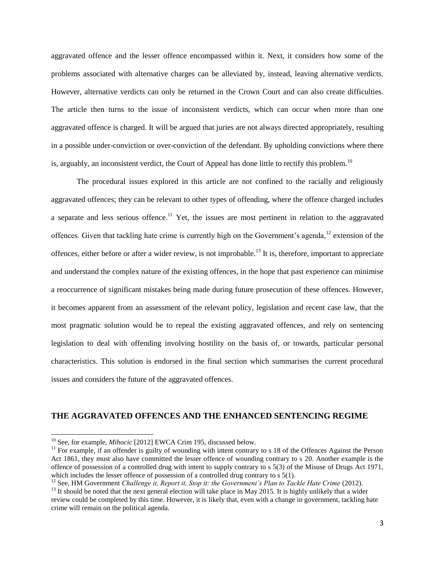aggravated offence and the lesser offence encompassed within it. Next, it considers how some of the problems associated with alternative charges can be alleviated by, instead, leaving alternative verdicts. However, alternative verdicts can only be returned in the Crown Court and can also create difficulties. The article then turns to the issue of inconsistent verdicts, which can occur when more than one aggravated offence is charged. It will be argued that juries are not always directed appropriately, resulting in a possible under-conviction or over-conviction of the defendant. By upholding convictions where there is, arguably, an inconsistent verdict, the Court of Appeal has done little to rectify this problem.<sup>10</sup>

The procedural issues explored in this article are not confined to the racially and religiously aggravated offences; they can be relevant to other types of offending, where the offence charged includes a separate and less serious offence.<sup>11</sup> Yet, the issues are most pertinent in relation to the aggravated offences. Given that tackling hate crime is currently high on the Government's agenda,<sup>12</sup> extension of the offences, either before or after a wider review, is not improbable.<sup>13</sup> It is, therefore, important to appreciate and understand the complex nature of the existing offences, in the hope that past experience can minimise a reoccurrence of significant mistakes being made during future prosecution of these offences. However, it becomes apparent from an assessment of the relevant policy, legislation and recent case law, that the most pragmatic solution would be to repeal the existing aggravated offences, and rely on sentencing legislation to deal with offending involving hostility on the basis of, or towards, particular personal characteristics. This solution is endorsed in the final section which summarises the current procedural issues and considers the future of the aggravated offences.

## **THE AGGRAVATED OFFENCES AND THE ENHANCED SENTENCING REGIME**

<sup>10</sup> See, for example, *Mihocic* [2012] EWCA Crim 195, discussed below.

 $11$  For example, if an offender is guilty of wounding with intent contrary to s 18 of the Offences Against the Person Act 1861, they must also have committed the lesser offence of wounding contrary to s 20. Another example is the offence of possession of a controlled drug with intent to supply contrary to s 5(3) of the Misuse of Drugs Act 1971, which includes the lesser offence of possession of a controlled drug contrary to s 5(1).

<sup>&</sup>lt;sup>12</sup> See, HM Government *Challenge it, Report it, Stop it: the Government's Plan to Tackle Hate Crime (2012)*.

 $^{13}$  It should be noted that the next general election will take place in May 2015. It is highly unlikely that a wider review could be completed by this time. However, it is likely that, even with a change in government, tackling hate crime will remain on the political agenda.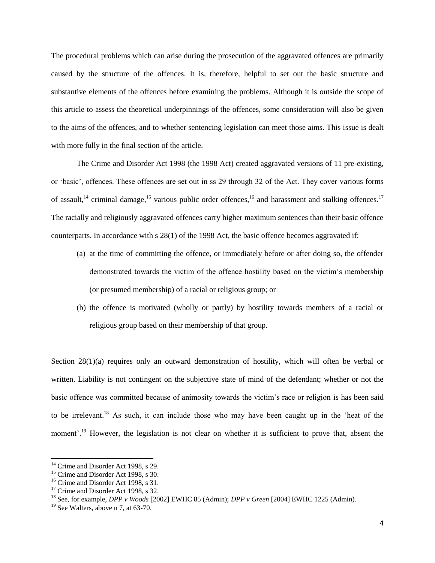The procedural problems which can arise during the prosecution of the aggravated offences are primarily caused by the structure of the offences. It is, therefore, helpful to set out the basic structure and substantive elements of the offences before examining the problems. Although it is outside the scope of this article to assess the theoretical underpinnings of the offences, some consideration will also be given to the aims of the offences, and to whether sentencing legislation can meet those aims. This issue is dealt with more fully in the final section of the article.

The Crime and Disorder Act 1998 (the 1998 Act) created aggravated versions of 11 pre-existing, or 'basic', offences. These offences are set out in ss 29 through 32 of the Act. They cover various forms of assault,<sup>14</sup> criminal damage,<sup>15</sup> various public order offences,<sup>16</sup> and harassment and stalking offences.<sup>17</sup> The racially and religiously aggravated offences carry higher maximum sentences than their basic offence counterparts. In accordance with s 28(1) of the 1998 Act, the basic offence becomes aggravated if:

- (a) at the time of committing the offence, or immediately before or after doing so, the offender demonstrated towards the victim of the offence hostility based on the victim's membership (or presumed membership) of a racial or religious group; or
- (b) the offence is motivated (wholly or partly) by hostility towards members of a racial or religious group based on their membership of that group.

Section  $28(1)(a)$  requires only an outward demonstration of hostility, which will often be verbal or written. Liability is not contingent on the subjective state of mind of the defendant; whether or not the basic offence was committed because of animosity towards the victim's race or religion is has been said to be irrelevant.<sup>18</sup> As such, it can include those who may have been caught up in the 'heat of the moment<sup>'.19</sup> However, the legislation is not clear on whether it is sufficient to prove that, absent the

l

<sup>&</sup>lt;sup>14</sup> Crime and Disorder Act 1998, s 29.

<sup>&</sup>lt;sup>15</sup> Crime and Disorder Act 1998, s 30.

<sup>&</sup>lt;sup>16</sup> Crime and Disorder Act 1998, s 31.

 $17$  Crime and Disorder Act 1998, s 32.

<sup>18</sup> See, for example, *DPP v Woods* [2002] EWHC 85 (Admin); *DPP v Green* [2004] EWHC 1225 (Admin).

 $19$  See Walters, above n 7, at 63-70.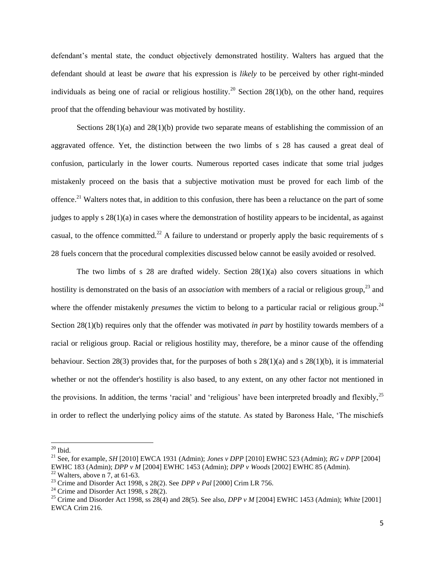defendant's mental state, the conduct objectively demonstrated hostility. Walters has argued that the defendant should at least be *aware* that his expression is *likely* to be perceived by other right-minded individuals as being one of racial or religious hostility.<sup>20</sup> Section 28(1)(b), on the other hand, requires proof that the offending behaviour was motivated by hostility.

Sections  $28(1)(a)$  and  $28(1)(b)$  provide two separate means of establishing the commission of an aggravated offence. Yet, the distinction between the two limbs of s 28 has caused a great deal of confusion, particularly in the lower courts. Numerous reported cases indicate that some trial judges mistakenly proceed on the basis that a subjective motivation must be proved for each limb of the offence.<sup>21</sup> Walters notes that, in addition to this confusion, there has been a reluctance on the part of some judges to apply s 28(1)(a) in cases where the demonstration of hostility appears to be incidental, as against casual, to the offence committed.<sup>22</sup> A failure to understand or properly apply the basic requirements of s 28 fuels concern that the procedural complexities discussed below cannot be easily avoided or resolved.

The two limbs of s 28 are drafted widely. Section  $28(1)(a)$  also covers situations in which hostility is demonstrated on the basis of an *association* with members of a racial or religious group,<sup>23</sup> and where the offender mistakenly *presumes* the victim to belong to a particular racial or religious group.<sup>24</sup> Section 28(1)(b) requires only that the offender was motivated *in part* by hostility towards members of a racial or religious group. Racial or religious hostility may, therefore, be a minor cause of the offending behaviour. Section 28(3) provides that, for the purposes of both s  $28(1)(a)$  and s  $28(1)(b)$ , it is immaterial whether or not the offender's hostility is also based, to any extent, on any other factor not mentioned in the provisions. In addition, the terms 'racial' and 'religious' have been interpreted broadly and flexibly,<sup>25</sup> in order to reflect the underlying policy aims of the statute. As stated by Baroness Hale, 'The mischiefs

 $20$  Ibid.

<sup>21</sup> See, for example, *SH* [2010] EWCA 1931 (Admin); *Jones v DPP* [2010] EWHC 523 (Admin); *RG v DPP* [2004] EWHC 183 (Admin); *DPP v M* [2004] EWHC 1453 (Admin); *DPP v Woods* [2002] EWHC 85 (Admin).

 $22$  Walters, above n 7, at 61-63.

<sup>23</sup> Crime and Disorder Act 1998, s 28(2). See *DPP v Pal* [2000] Crim LR 756.

 $24$  Crime and Disorder Act 1998, s 28(2).

<sup>25</sup> Crime and Disorder Act 1998, ss 28(4) and 28(5). See also, *DPP v M* [2004] EWHC 1453 (Admin); *White* [2001] EWCA Crim 216.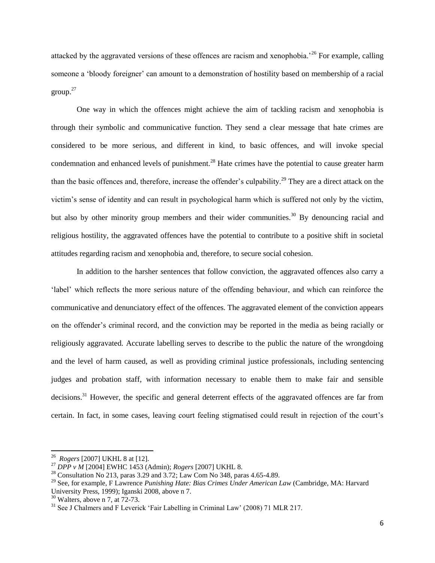attacked by the aggravated versions of these offences are racism and xenophobia.'<sup>26</sup> For example, calling someone a 'bloody foreigner' can amount to a demonstration of hostility based on membership of a racial  $\text{group}^{\,27}$ 

One way in which the offences might achieve the aim of tackling racism and xenophobia is through their symbolic and communicative function. They send a clear message that hate crimes are considered to be more serious, and different in kind, to basic offences, and will invoke special condemnation and enhanced levels of punishment.<sup>28</sup> Hate crimes have the potential to cause greater harm than the basic offences and, therefore, increase the offender's culpability.<sup>29</sup> They are a direct attack on the victim's sense of identity and can result in psychological harm which is suffered not only by the victim, but also by other minority group members and their wider communities.<sup>30</sup> By denouncing racial and religious hostility, the aggravated offences have the potential to contribute to a positive shift in societal attitudes regarding racism and xenophobia and, therefore, to secure social cohesion.

In addition to the harsher sentences that follow conviction, the aggravated offences also carry a 'label' which reflects the more serious nature of the offending behaviour, and which can reinforce the communicative and denunciatory effect of the offences. The aggravated element of the conviction appears on the offender's criminal record, and the conviction may be reported in the media as being racially or religiously aggravated. Accurate labelling serves to describe to the public the nature of the wrongdoing and the level of harm caused, as well as providing criminal justice professionals, including sentencing judges and probation staff, with information necessary to enable them to make fair and sensible decisions.<sup>31</sup> However, the specific and general deterrent effects of the aggravated offences are far from certain. In fact, in some cases, leaving court feeling stigmatised could result in rejection of the court's

<sup>26</sup> *Rogers* [2007] UKHL 8 at [12].

<sup>27</sup> *DPP v M* [2004] EWHC 1453 (Admin); *Rogers* [2007] UKHL 8.

<sup>28</sup> Consultation No 213, paras 3.29 and 3.72; Law Com No 348, paras 4.65-4.89.

<sup>29</sup> See, for example, F Lawrence *Punishing Hate: Bias Crimes Under American Law* (Cambridge, MA: Harvard University Press, 1999); Iganski 2008, above n 7.

 $30$  Walters, above n 7, at 72-73.

<sup>&</sup>lt;sup>31</sup> See J Chalmers and F Leverick 'Fair Labelling in Criminal Law' (2008) 71 MLR 217.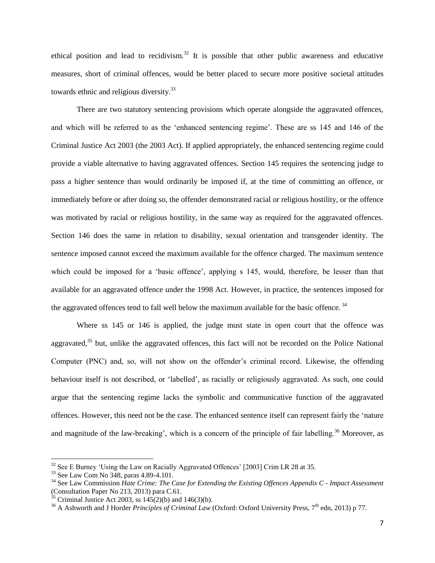ethical position and lead to recidivism.<sup>32</sup> It is possible that other public awareness and educative measures, short of criminal offences, would be better placed to secure more positive societal attitudes towards ethnic and religious diversity.<sup>33</sup>

There are two statutory sentencing provisions which operate alongside the aggravated offences, and which will be referred to as the 'enhanced sentencing regime'. These are ss 145 and 146 of the Criminal Justice Act 2003 (the 2003 Act). If applied appropriately, the enhanced sentencing regime could provide a viable alternative to having aggravated offences. Section 145 requires the sentencing judge to pass a higher sentence than would ordinarily be imposed if, at the time of committing an offence, or immediately before or after doing so, the offender demonstrated racial or religious hostility, or the offence was motivated by racial or religious hostility, in the same way as required for the aggravated offences. Section 146 does the same in relation to disability, sexual orientation and transgender identity. The sentence imposed cannot exceed the maximum available for the offence charged. The maximum sentence which could be imposed for a 'basic offence', applying s 145, would, therefore, be lesser than that available for an aggravated offence under the 1998 Act. However, in practice, the sentences imposed for the aggravated offences tend to fall well below the maximum available for the basic offence.<sup>34</sup>

Where ss 145 or 146 is applied, the judge must state in open court that the offence was aggravated, $35$  but, unlike the aggravated offences, this fact will not be recorded on the Police National Computer (PNC) and, so, will not show on the offender's criminal record. Likewise, the offending behaviour itself is not described, or 'labelled', as racially or religiously aggravated. As such, one could argue that the sentencing regime lacks the symbolic and communicative function of the aggravated offences. However, this need not be the case. The enhanced sentence itself can represent fairly the 'nature and magnitude of the law-breaking', which is a concern of the principle of fair labelling.<sup>36</sup> Moreover, as

l

 $32$  See E Burney 'Using the Law on Racially Aggravated Offences' [2003] Crim LR 28 at 35.

 $33$  See Law Com No 348, paras 4.89-4.101.

<sup>34</sup> See Law Commission *Hate Crime: The Case for Extending the Existing Offences Appendix C - Impact Assessment* (Consultation Paper No 213, 2013) para C.61.

 $35$  Criminal Justice Act 2003, ss  $145(2)(b)$  and  $146(3)(b)$ .

<sup>&</sup>lt;sup>36</sup> A Ashworth and J Horder *Principles of Criminal Law* (Oxford: Oxford University Press, 7<sup>th</sup> edn, 2013) p 77.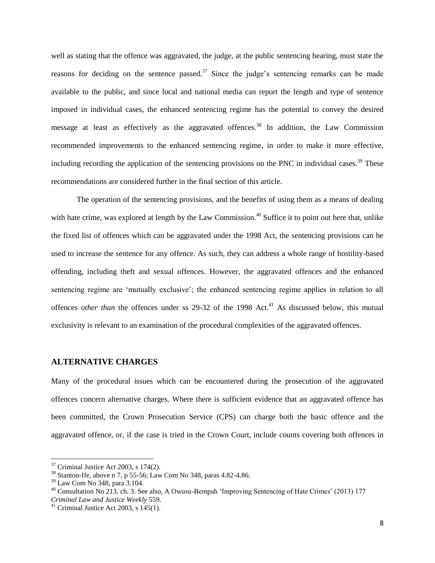well as stating that the offence was aggravated, the judge, at the public sentencing hearing, must state the reasons for deciding on the sentence passed.<sup>37</sup> Since the judge's sentencing remarks can be made available to the public, and since local and national media can report the length and type of sentence imposed in individual cases, the enhanced sentencing regime has the potential to convey the desired message at least as effectively as the aggravated offences.<sup>38</sup> In addition, the Law Commission recommended improvements to the enhanced sentencing regime, in order to make it more effective, including recording the application of the sentencing provisions on the PNC in individual cases.<sup>39</sup> These recommendations are considered further in the final section of this article.

The operation of the sentencing provisions, and the benefits of using them as a means of dealing with hate crime, was explored at length by the Law Commission.<sup>40</sup> Suffice it to point out here that, unlike the fixed list of offences which can be aggravated under the 1998 Act, the sentencing provisions can be used to increase the sentence for any offence. As such, they can address a whole range of hostility-based offending, including theft and sexual offences. However, the aggravated offences and the enhanced sentencing regime are 'mutually exclusive'; the enhanced sentencing regime applies in relation to all offences *other than* the offences under ss 29-32 of the 1998 Act.<sup>41</sup> As discussed below, this mutual exclusivity is relevant to an examination of the procedural complexities of the aggravated offences.

#### **ALTERNATIVE CHARGES**

Many of the procedural issues which can be encountered during the prosecution of the aggravated offences concern alternative charges. Where there is sufficient evidence that an aggravated offence has been committed, the Crown Prosecution Service (CPS) can charge both the basic offence and the aggravated offence, or, if the case is tried in the Crown Court, include counts covering both offences in

l

 $37$  Criminal Justice Act 2003, s 174(2).

<sup>38</sup> Stanton-Ife*,* above n 7, p 55-56; Law Com No 348, paras 4.82-4.86.

<sup>39</sup> Law Com No 348, para 3.104.

<sup>&</sup>lt;sup>40</sup> Consultation No 213, ch. 3. See also, A Owusu-Bempah 'Improving Sentencing of Hate Crimes' (2013) 177 *Criminal Law and Justice Weekly* 559.

<sup>&</sup>lt;sup>41</sup> Criminal Justice Act 2003, s  $145(1)$ .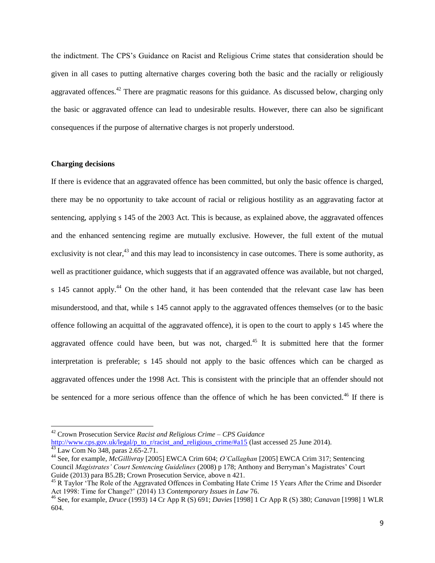the indictment. The CPS's Guidance on Racist and Religious Crime states that consideration should be given in all cases to putting alternative charges covering both the basic and the racially or religiously aggravated offences.<sup>42</sup> There are pragmatic reasons for this guidance. As discussed below, charging only the basic or aggravated offence can lead to undesirable results. However, there can also be significant consequences if the purpose of alternative charges is not properly understood.

#### **Charging decisions**

If there is evidence that an aggravated offence has been committed, but only the basic offence is charged, there may be no opportunity to take account of racial or religious hostility as an aggravating factor at sentencing, applying s 145 of the 2003 Act. This is because, as explained above, the aggravated offences and the enhanced sentencing regime are mutually exclusive. However, the full extent of the mutual exclusivity is not clear,<sup>43</sup> and this may lead to inconsistency in case outcomes. There is some authority, as well as practitioner guidance, which suggests that if an aggravated offence was available, but not charged, s 145 cannot apply.<sup>44</sup> On the other hand, it has been contended that the relevant case law has been misunderstood, and that, while s 145 cannot apply to the aggravated offences themselves (or to the basic offence following an acquittal of the aggravated offence), it is open to the court to apply s 145 where the aggravated offence could have been, but was not, charged.<sup>45</sup> It is submitted here that the former interpretation is preferable; s 145 should not apply to the basic offences which can be charged as aggravated offences under the 1998 Act. This is consistent with the principle that an offender should not be sentenced for a more serious offence than the offence of which he has been convicted.<sup>46</sup> If there is

[http://www.cps.gov.uk/legal/p\\_to\\_r/racist\\_and\\_religious\\_crime/#a15](http://www.cps.gov.uk/legal/p_to_r/racist_and_religious_crime/#a15) (last accessed 25 June 2014).

<sup>42</sup> Crown Prosecution Service *Racist and Religious Crime – CPS Guidance* 

<sup>43</sup> Law Com No 348, paras 2.65-2.71.

<sup>44</sup> See, for example, *McGillivray* [2005] EWCA Crim 604; *O'Callaghan* [2005] EWCA Crim 317; Sentencing Council *Magistrates' Court Sentencing Guidelines* (2008) p 178; Anthony and Berryman's Magistrates' Court Guide (2013) para B5.2B; Crown Prosecution Service, above n 421.

<sup>&</sup>lt;sup>45</sup> R Taylor 'The Role of the Aggravated Offences in Combating Hate Crime 15 Years After the Crime and Disorder Act 1998: Time for Change?' (2014) 13 *Contemporary Issues in Law* 76.

<sup>46</sup> See, for example, *Druce* (1993) 14 Cr App R (S) 691; *Davies* [1998] 1 Cr App R (S) 380; *Canavan* [1998] 1 WLR 604.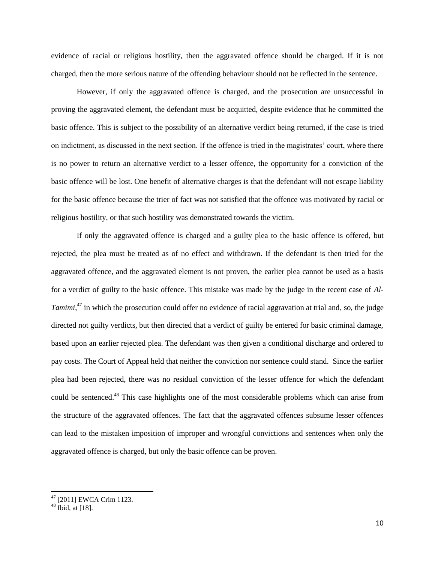evidence of racial or religious hostility, then the aggravated offence should be charged. If it is not charged, then the more serious nature of the offending behaviour should not be reflected in the sentence.

However, if only the aggravated offence is charged, and the prosecution are unsuccessful in proving the aggravated element, the defendant must be acquitted, despite evidence that he committed the basic offence. This is subject to the possibility of an alternative verdict being returned, if the case is tried on indictment, as discussed in the next section. If the offence is tried in the magistrates' court, where there is no power to return an alternative verdict to a lesser offence, the opportunity for a conviction of the basic offence will be lost. One benefit of alternative charges is that the defendant will not escape liability for the basic offence because the trier of fact was not satisfied that the offence was motivated by racial or religious hostility, or that such hostility was demonstrated towards the victim.

If only the aggravated offence is charged and a guilty plea to the basic offence is offered, but rejected, the plea must be treated as of no effect and withdrawn. If the defendant is then tried for the aggravated offence, and the aggravated element is not proven, the earlier plea cannot be used as a basis for a verdict of guilty to the basic offence. This mistake was made by the judge in the recent case of *Al-Tamimi*,<sup>47</sup> in which the prosecution could offer no evidence of racial aggravation at trial and, so, the judge directed not guilty verdicts, but then directed that a verdict of guilty be entered for basic criminal damage, based upon an earlier rejected plea. The defendant was then given a conditional discharge and ordered to pay costs. The Court of Appeal held that neither the conviction nor sentence could stand. Since the earlier plea had been rejected, there was no residual conviction of the lesser offence for which the defendant could be sentenced.<sup>48</sup> This case highlights one of the most considerable problems which can arise from the structure of the aggravated offences. The fact that the aggravated offences subsume lesser offences can lead to the mistaken imposition of improper and wrongful convictions and sentences when only the aggravated offence is charged, but only the basic offence can be proven.

 $47$  [2011] EWCA Crim 1123.

 $48$  Ibid, at [18].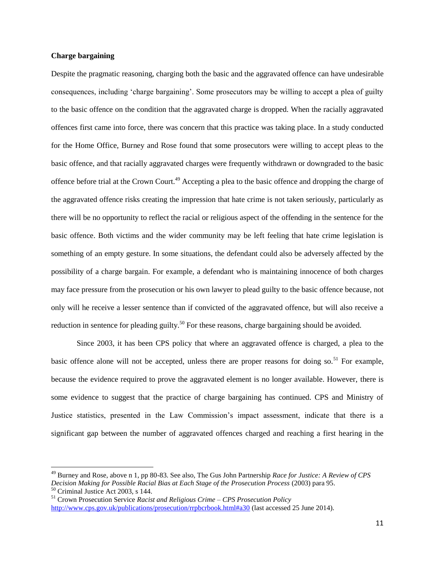#### **Charge bargaining**

 $\overline{a}$ 

Despite the pragmatic reasoning, charging both the basic and the aggravated offence can have undesirable consequences, including 'charge bargaining'. Some prosecutors may be willing to accept a plea of guilty to the basic offence on the condition that the aggravated charge is dropped. When the racially aggravated offences first came into force, there was concern that this practice was taking place. In a study conducted for the Home Office, Burney and Rose found that some prosecutors were willing to accept pleas to the basic offence, and that racially aggravated charges were frequently withdrawn or downgraded to the basic offence before trial at the Crown Court.<sup>49</sup> Accepting a plea to the basic offence and dropping the charge of the aggravated offence risks creating the impression that hate crime is not taken seriously, particularly as there will be no opportunity to reflect the racial or religious aspect of the offending in the sentence for the basic offence. Both victims and the wider community may be left feeling that hate crime legislation is something of an empty gesture. In some situations, the defendant could also be adversely affected by the possibility of a charge bargain. For example, a defendant who is maintaining innocence of both charges may face pressure from the prosecution or his own lawyer to plead guilty to the basic offence because, not only will he receive a lesser sentence than if convicted of the aggravated offence, but will also receive a reduction in sentence for pleading guilty.<sup>50</sup> For these reasons, charge bargaining should be avoided.

Since 2003, it has been CPS policy that where an aggravated offence is charged, a plea to the basic offence alone will not be accepted, unless there are proper reasons for doing so.<sup>51</sup> For example, because the evidence required to prove the aggravated element is no longer available. However, there is some evidence to suggest that the practice of charge bargaining has continued. CPS and Ministry of Justice statistics, presented in the Law Commission's impact assessment, indicate that there is a significant gap between the number of aggravated offences charged and reaching a first hearing in the

<sup>49</sup> Burney and Rose, above n 1, pp 80-83. See also, The Gus John Partnership *Race for Justice: A Review of CPS Decision Making for Possible Racial Bias at Each Stage of the Prosecution Process* (2003) para 95. <sup>50</sup> Criminal Justice Act 2003, s 144.

<sup>51</sup> Crown Prosecution Service *Racist and Religious Crime – CPS Prosecution Policy* <http://www.cps.gov.uk/publications/prosecution/rrpbcrbook.html#a30> (last accessed 25 June 2014).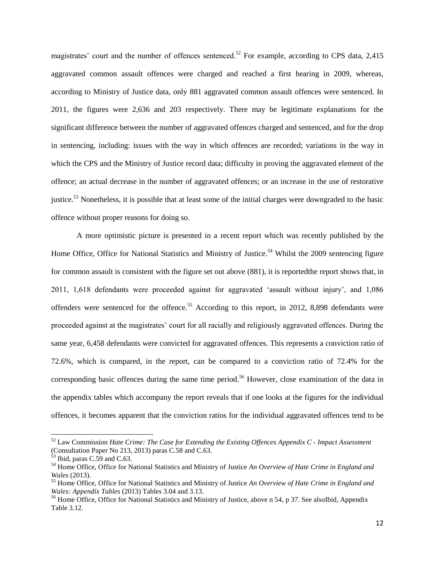magistrates' court and the number of offences sentenced.<sup>52</sup> For example, according to CPS data, 2,415 aggravated common assault offences were charged and reached a first hearing in 2009, whereas, according to Ministry of Justice data, only 881 aggravated common assault offences were sentenced. In 2011, the figures were 2,636 and 203 respectively. There may be legitimate explanations for the significant difference between the number of aggravated offences charged and sentenced, and for the drop in sentencing, including: issues with the way in which offences are recorded; variations in the way in which the CPS and the Ministry of Justice record data; difficulty in proving the aggravated element of the offence; an actual decrease in the number of aggravated offences; or an increase in the use of restorative justice.<sup>53</sup> Nonetheless, it is possible that at least some of the initial charges were downgraded to the basic offence without proper reasons for doing so.

A more optimistic picture is presented in a recent report which was recently published by the Home Office, Office for National Statistics and Ministry of Justice.<sup>54</sup> Whilst the 2009 sentencing figure for common assault is consistent with the figure set out above (881), it is reportedthe report shows that, in 2011, 1,618 defendants were proceeded against for aggravated 'assault without injury', and 1,086 offenders were sentenced for the offence.<sup>55</sup> According to this report, in 2012, 8,898 defendants were proceeded against at the magistrates' court for all racially and religiously aggravated offences. During the same year, 6,458 defendants were convicted for aggravated offences. This represents a conviction ratio of 72.6%, which is compared, in the report, can be compared to a conviction ratio of 72.4% for the corresponding basic offences during the same time period.<sup>56</sup> However, close examination of the data in the appendix tables which accompany the report reveals that if one looks at the figures for the individual offences, it becomes apparent that the conviction ratios for the individual aggravated offences tend to be

<sup>52</sup> Law Commission *Hate Crime: The Case for Extending the Existing Offences Appendix C - Impact Assessment* (Consultation Paper No 213, 2013) paras C.58 and C.63.

 $53$  Ibid, paras C.59 and C.63.

<sup>54</sup> Home Office, Office for National Statistics and Ministry of Justice *An Overview of Hate Crime in England and Wales* (2013).

<sup>55</sup> Home Office, Office for National Statistics and Ministry of Justice *An Overview of Hate Crime in England and Wales: Appendix Tables* (2013) Tables 3.04 and 3.13.

<sup>&</sup>lt;sup>56</sup> Home Office, Office for National Statistics and Ministry of Justice, above n 54, p 37. See alsoIbid, Appendix Table 3.12.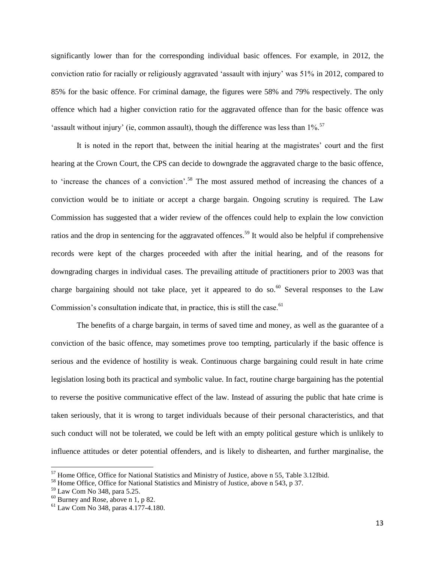significantly lower than for the corresponding individual basic offences. For example, in 2012, the conviction ratio for racially or religiously aggravated 'assault with injury' was 51% in 2012, compared to 85% for the basic offence. For criminal damage, the figures were 58% and 79% respectively. The only offence which had a higher conviction ratio for the aggravated offence than for the basic offence was 'assault without injury' (ie, common assault), though the difference was less than  $1\%$ <sup>57</sup>

It is noted in the report that, between the initial hearing at the magistrates' court and the first hearing at the Crown Court, the CPS can decide to downgrade the aggravated charge to the basic offence, to 'increase the chances of a conviction'.<sup>58</sup> The most assured method of increasing the chances of a conviction would be to initiate or accept a charge bargain. Ongoing scrutiny is required. The Law Commission has suggested that a wider review of the offences could help to explain the low conviction ratios and the drop in sentencing for the aggravated offences.<sup>59</sup> It would also be helpful if comprehensive records were kept of the charges proceeded with after the initial hearing, and of the reasons for downgrading charges in individual cases. The prevailing attitude of practitioners prior to 2003 was that charge bargaining should not take place, yet it appeared to do so. $60$  Several responses to the Law Commission's consultation indicate that, in practice, this is still the case.<sup>61</sup>

The benefits of a charge bargain, in terms of saved time and money, as well as the guarantee of a conviction of the basic offence, may sometimes prove too tempting, particularly if the basic offence is serious and the evidence of hostility is weak. Continuous charge bargaining could result in hate crime legislation losing both its practical and symbolic value. In fact, routine charge bargaining has the potential to reverse the positive communicative effect of the law. Instead of assuring the public that hate crime is taken seriously, that it is wrong to target individuals because of their personal characteristics, and that such conduct will not be tolerated, we could be left with an empty political gesture which is unlikely to influence attitudes or deter potential offenders, and is likely to dishearten, and further marginalise, the

 $57$  Home Office, Office for National Statistics and Ministry of Justice, above n 55, Table 3.12Ibid.

<sup>58</sup> Home Office, Office for National Statistics and Ministry of Justice, above n 543, p 37.

<sup>59</sup> Law Com No 348, para 5.25.

 $60$  Burney and Rose, above n 1, p 82.

<sup>61</sup> Law Com No 348, paras 4.177-4.180.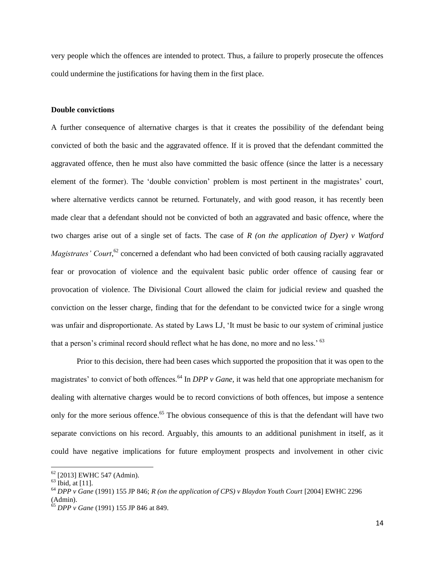very people which the offences are intended to protect. Thus, a failure to properly prosecute the offences could undermine the justifications for having them in the first place.

#### **Double convictions**

A further consequence of alternative charges is that it creates the possibility of the defendant being convicted of both the basic and the aggravated offence. If it is proved that the defendant committed the aggravated offence, then he must also have committed the basic offence (since the latter is a necessary element of the former). The 'double conviction' problem is most pertinent in the magistrates' court, where alternative verdicts cannot be returned. Fortunately, and with good reason, it has recently been made clear that a defendant should not be convicted of both an aggravated and basic offence, where the two charges arise out of a single set of facts. The case of *R (on the application of Dyer) v Watford*  Magistrates' Court,<sup>62</sup> concerned a defendant who had been convicted of both causing racially aggravated fear or provocation of violence and the equivalent basic public order offence of causing fear or provocation of violence. The Divisional Court allowed the claim for judicial review and quashed the conviction on the lesser charge, finding that for the defendant to be convicted twice for a single wrong was unfair and disproportionate. As stated by Laws LJ, 'It must be basic to our system of criminal justice that a person's criminal record should reflect what he has done, no more and no less.' <sup>63</sup>

Prior to this decision, there had been cases which supported the proposition that it was open to the magistrates' to convict of both offences.<sup>64</sup> In *DPP v Gane*, it was held that one appropriate mechanism for dealing with alternative charges would be to record convictions of both offences, but impose a sentence only for the more serious offence.<sup>65</sup> The obvious consequence of this is that the defendant will have two separate convictions on his record. Arguably, this amounts to an additional punishment in itself, as it could have negative implications for future employment prospects and involvement in other civic

 $62$  [2013] EWHC 547 (Admin).

 $63$  Ibid, at [11].

<sup>64</sup> *DPP v Gane* (1991) 155 JP 846; *R (on the application of CPS) v Blaydon Youth Court* [2004] EWHC 2296 (Admin).

<sup>65</sup> *DPP v Gane* (1991) 155 JP 846 at 849.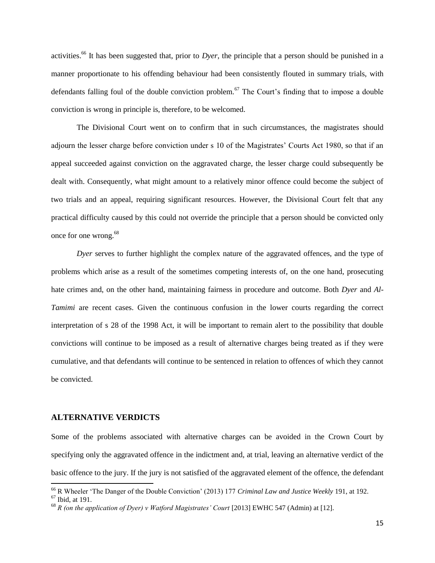activities.<sup>66</sup> It has been suggested that, prior to *Dyer*, the principle that a person should be punished in a manner proportionate to his offending behaviour had been consistently flouted in summary trials, with defendants falling foul of the double conviction problem.<sup>67</sup> The Court's finding that to impose a double conviction is wrong in principle is, therefore, to be welcomed.

The Divisional Court went on to confirm that in such circumstances, the magistrates should adjourn the lesser charge before conviction under s 10 of the Magistrates' Courts Act 1980, so that if an appeal succeeded against conviction on the aggravated charge, the lesser charge could subsequently be dealt with. Consequently, what might amount to a relatively minor offence could become the subject of two trials and an appeal, requiring significant resources. However, the Divisional Court felt that any practical difficulty caused by this could not override the principle that a person should be convicted only once for one wrong.<sup>68</sup>

*Dyer* serves to further highlight the complex nature of the aggravated offences, and the type of problems which arise as a result of the sometimes competing interests of, on the one hand, prosecuting hate crimes and, on the other hand, maintaining fairness in procedure and outcome. Both *Dyer* and *Al-Tamimi* are recent cases. Given the continuous confusion in the lower courts regarding the correct interpretation of s 28 of the 1998 Act, it will be important to remain alert to the possibility that double convictions will continue to be imposed as a result of alternative charges being treated as if they were cumulative, and that defendants will continue to be sentenced in relation to offences of which they cannot be convicted.

#### **ALTERNATIVE VERDICTS**

Some of the problems associated with alternative charges can be avoided in the Crown Court by specifying only the aggravated offence in the indictment and, at trial, leaving an alternative verdict of the basic offence to the jury. If the jury is not satisfied of the aggravated element of the offence, the defendant

<sup>66</sup> R Wheeler 'The Danger of the Double Conviction' (2013) 177 *Criminal Law and Justice Weekly* 191, at 192.

 $67$  Ibid, at 191.

<sup>68</sup> *R (on the application of Dyer) v Watford Magistrates' Court* [2013] EWHC 547 (Admin) at [12].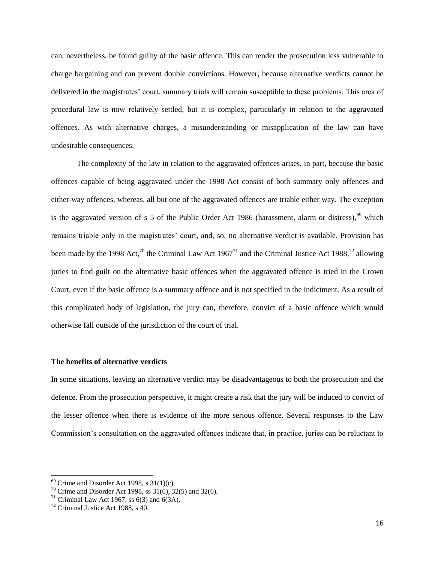can, nevertheless, be found guilty of the basic offence. This can render the prosecution less vulnerable to charge bargaining and can prevent double convictions. However, because alternative verdicts cannot be delivered in the magistrates' court, summary trials will remain susceptible to these problems. This area of procedural law is now relatively settled, but it is complex, particularly in relation to the aggravated offences. As with alternative charges, a misunderstanding or misapplication of the law can have undesirable consequences.

The complexity of the law in relation to the aggravated offences arises, in part, because the basic offences capable of being aggravated under the 1998 Act consist of both summary only offences and either-way offences, whereas, all but one of the aggravated offences are triable either way. The exception is the aggravated version of s 5 of the Public Order Act 1986 (harassment, alarm or distress),  $69$  which remains triable only in the magistrates' court, and, so, no alternative verdict is available. Provision has been made by the 1998 Act,<sup>70</sup> the Criminal Law Act 1967<sup>71</sup> and the Criminal Justice Act 1988,<sup>72</sup> allowing juries to find guilt on the alternative basic offences when the aggravated offence is tried in the Crown Court, even if the basic offence is a summary offence and is not specified in the indictment. As a result of this complicated body of legislation, the jury can, therefore, convict of a basic offence which would otherwise fall outside of the jurisdiction of the court of trial.

#### **The benefits of alternative verdicts**

In some situations, leaving an alternative verdict may be disadvantageous to both the prosecution and the defence. From the prosecution perspective, it might create a risk that the jury will be induced to convict of the lesser offence when there is evidence of the more serious offence. Several responses to the Law Commission's consultation on the aggravated offences indicate that, in practice, juries can be reluctant to

 $69$  Crime and Disorder Act 1998, s 31(1)(c).

<sup>&</sup>lt;sup>70</sup> Crime and Disorder Act 1998, ss  $31(6)$ ,  $32(5)$  and  $32(6)$ .

<sup>&</sup>lt;sup>71</sup> Criminal Law Act 1967, ss  $6(3)$  and  $6(3)$ .

 $72$  Criminal Justice Act 1988, s 40.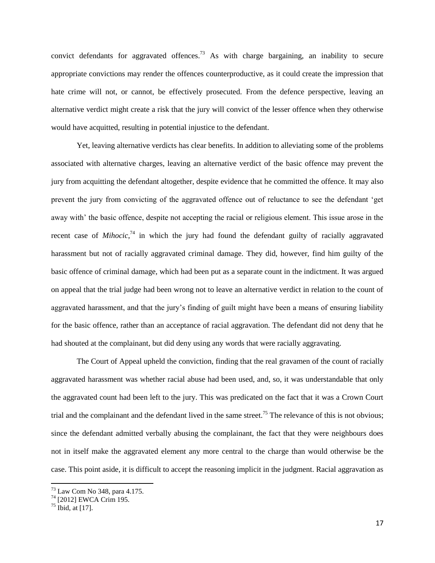convict defendants for aggravated offences.<sup>73</sup> As with charge bargaining, an inability to secure appropriate convictions may render the offences counterproductive, as it could create the impression that hate crime will not, or cannot, be effectively prosecuted. From the defence perspective, leaving an alternative verdict might create a risk that the jury will convict of the lesser offence when they otherwise would have acquitted, resulting in potential injustice to the defendant.

Yet, leaving alternative verdicts has clear benefits. In addition to alleviating some of the problems associated with alternative charges, leaving an alternative verdict of the basic offence may prevent the jury from acquitting the defendant altogether, despite evidence that he committed the offence. It may also prevent the jury from convicting of the aggravated offence out of reluctance to see the defendant 'get away with' the basic offence, despite not accepting the racial or religious element. This issue arose in the recent case of *Mihocic*<sup>74</sup> in which the jury had found the defendant guilty of racially aggravated harassment but not of racially aggravated criminal damage. They did, however, find him guilty of the basic offence of criminal damage, which had been put as a separate count in the indictment. It was argued on appeal that the trial judge had been wrong not to leave an alternative verdict in relation to the count of aggravated harassment, and that the jury's finding of guilt might have been a means of ensuring liability for the basic offence, rather than an acceptance of racial aggravation. The defendant did not deny that he had shouted at the complainant, but did deny using any words that were racially aggravating.

The Court of Appeal upheld the conviction, finding that the real gravamen of the count of racially aggravated harassment was whether racial abuse had been used, and, so, it was understandable that only the aggravated count had been left to the jury. This was predicated on the fact that it was a Crown Court trial and the complainant and the defendant lived in the same street.<sup>75</sup> The relevance of this is not obvious; since the defendant admitted verbally abusing the complainant, the fact that they were neighbours does not in itself make the aggravated element any more central to the charge than would otherwise be the case. This point aside, it is difficult to accept the reasoning implicit in the judgment. Racial aggravation as

<sup>73</sup> Law Com No 348, para 4.175.

<sup>74</sup> [2012] EWCA Crim 195.

 $^{75}$  Ibid, at [17].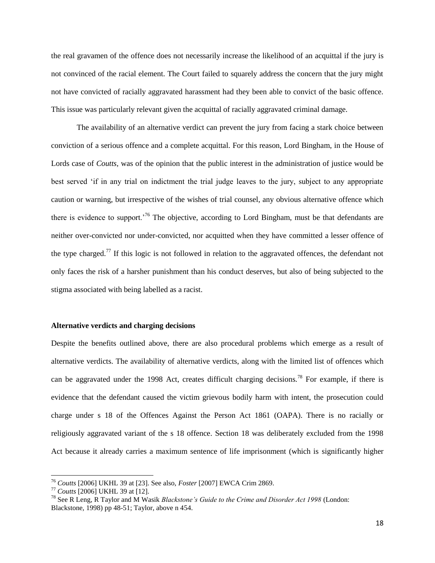the real gravamen of the offence does not necessarily increase the likelihood of an acquittal if the jury is not convinced of the racial element. The Court failed to squarely address the concern that the jury might not have convicted of racially aggravated harassment had they been able to convict of the basic offence. This issue was particularly relevant given the acquittal of racially aggravated criminal damage.

The availability of an alternative verdict can prevent the jury from facing a stark choice between conviction of a serious offence and a complete acquittal. For this reason, Lord Bingham, in the House of Lords case of *Coutts,* was of the opinion that the public interest in the administration of justice would be best served 'if in any trial on indictment the trial judge leaves to the jury, subject to any appropriate caution or warning, but irrespective of the wishes of trial counsel, any obvious alternative offence which there is evidence to support.'<sup>76</sup> The objective, according to Lord Bingham, must be that defendants are neither over-convicted nor under-convicted, nor acquitted when they have committed a lesser offence of the type charged.<sup>77</sup> If this logic is not followed in relation to the aggravated offences, the defendant not only faces the risk of a harsher punishment than his conduct deserves, but also of being subjected to the stigma associated with being labelled as a racist.

#### **Alternative verdicts and charging decisions**

Despite the benefits outlined above, there are also procedural problems which emerge as a result of alternative verdicts. The availability of alternative verdicts, along with the limited list of offences which can be aggravated under the 1998 Act, creates difficult charging decisions.<sup>78</sup> For example, if there is evidence that the defendant caused the victim grievous bodily harm with intent, the prosecution could charge under s 18 of the Offences Against the Person Act 1861 (OAPA). There is no racially or religiously aggravated variant of the s 18 offence. Section 18 was deliberately excluded from the 1998 Act because it already carries a maximum sentence of life imprisonment (which is significantly higher

<sup>76</sup> *Coutts* [2006] UKHL 39 at [23]. See also, *Foster* [2007] EWCA Crim 2869.

<sup>77</sup> *Coutts* [2006] UKHL 39 at [12].

<sup>78</sup> See R Leng, R Taylor and M Wasik *Blackstone's Guide to the Crime and Disorder Act 1998* (London: Blackstone, 1998) pp 48-51; Taylor, above n 454.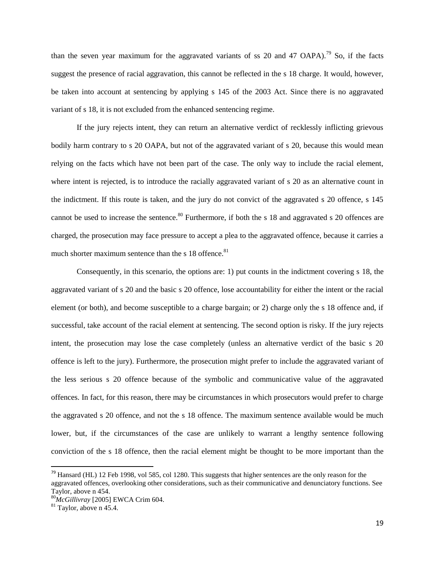than the seven year maximum for the aggravated variants of ss 20 and 47 OAPA).<sup>79</sup> So, if the facts suggest the presence of racial aggravation, this cannot be reflected in the s 18 charge. It would, however, be taken into account at sentencing by applying s 145 of the 2003 Act. Since there is no aggravated variant of s 18, it is not excluded from the enhanced sentencing regime.

If the jury rejects intent, they can return an alternative verdict of recklessly inflicting grievous bodily harm contrary to s 20 OAPA, but not of the aggravated variant of s 20, because this would mean relying on the facts which have not been part of the case. The only way to include the racial element, where intent is rejected, is to introduce the racially aggravated variant of s 20 as an alternative count in the indictment. If this route is taken, and the jury do not convict of the aggravated s 20 offence, s 145 cannot be used to increase the sentence.<sup>80</sup> Furthermore, if both the s 18 and aggravated s 20 offences are charged, the prosecution may face pressure to accept a plea to the aggravated offence, because it carries a much shorter maximum sentence than the s  $18$  offence.<sup>81</sup>

Consequently, in this scenario, the options are: 1) put counts in the indictment covering s 18, the aggravated variant of s 20 and the basic s 20 offence, lose accountability for either the intent or the racial element (or both), and become susceptible to a charge bargain; or 2) charge only the s 18 offence and, if successful, take account of the racial element at sentencing. The second option is risky. If the jury rejects intent, the prosecution may lose the case completely (unless an alternative verdict of the basic s 20 offence is left to the jury). Furthermore, the prosecution might prefer to include the aggravated variant of the less serious s 20 offence because of the symbolic and communicative value of the aggravated offences. In fact, for this reason, there may be circumstances in which prosecutors would prefer to charge the aggravated s 20 offence, and not the s 18 offence. The maximum sentence available would be much lower, but, if the circumstances of the case are unlikely to warrant a lengthy sentence following conviction of the s 18 offence, then the racial element might be thought to be more important than the

 $79$  Hansard (HL) 12 Feb 1998, vol 585, col 1280. This suggests that higher sentences are the only reason for the aggravated offences, overlooking other considerations, such as their communicative and denunciatory functions. See Taylor, above n 454.

<sup>80</sup>*McGillivray* [2005] EWCA Crim 604.

<sup>&</sup>lt;sup>81</sup> Taylor, above n 45.4.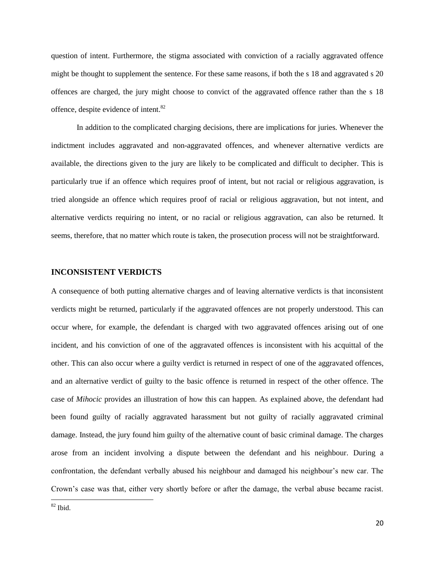question of intent. Furthermore, the stigma associated with conviction of a racially aggravated offence might be thought to supplement the sentence. For these same reasons, if both the s 18 and aggravated s 20 offences are charged, the jury might choose to convict of the aggravated offence rather than the s 18 offence, despite evidence of intent.<sup>82</sup>

In addition to the complicated charging decisions, there are implications for juries. Whenever the indictment includes aggravated and non-aggravated offences, and whenever alternative verdicts are available, the directions given to the jury are likely to be complicated and difficult to decipher. This is particularly true if an offence which requires proof of intent, but not racial or religious aggravation, is tried alongside an offence which requires proof of racial or religious aggravation, but not intent, and alternative verdicts requiring no intent, or no racial or religious aggravation, can also be returned. It seems, therefore, that no matter which route is taken, the prosecution process will not be straightforward.

#### **INCONSISTENT VERDICTS**

A consequence of both putting alternative charges and of leaving alternative verdicts is that inconsistent verdicts might be returned, particularly if the aggravated offences are not properly understood. This can occur where, for example, the defendant is charged with two aggravated offences arising out of one incident, and his conviction of one of the aggravated offences is inconsistent with his acquittal of the other. This can also occur where a guilty verdict is returned in respect of one of the aggravated offences, and an alternative verdict of guilty to the basic offence is returned in respect of the other offence. The case of *Mihocic* provides an illustration of how this can happen. As explained above, the defendant had been found guilty of racially aggravated harassment but not guilty of racially aggravated criminal damage. Instead, the jury found him guilty of the alternative count of basic criminal damage. The charges arose from an incident involving a dispute between the defendant and his neighbour. During a confrontation, the defendant verbally abused his neighbour and damaged his neighbour's new car. The Crown's case was that, either very shortly before or after the damage, the verbal abuse became racist.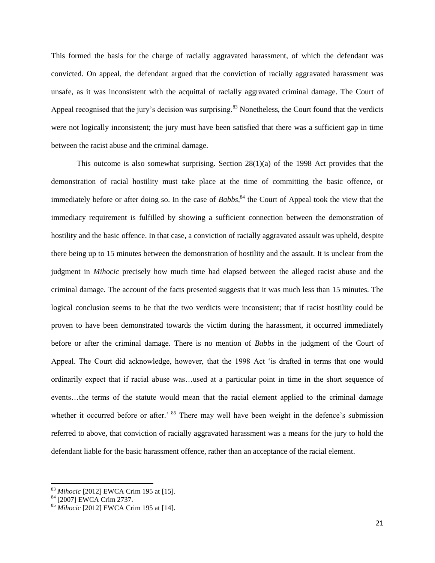This formed the basis for the charge of racially aggravated harassment, of which the defendant was convicted. On appeal, the defendant argued that the conviction of racially aggravated harassment was unsafe, as it was inconsistent with the acquittal of racially aggravated criminal damage. The Court of Appeal recognised that the jury's decision was surprising.<sup>83</sup> Nonetheless, the Court found that the verdicts were not logically inconsistent; the jury must have been satisfied that there was a sufficient gap in time between the racist abuse and the criminal damage.

This outcome is also somewhat surprising. Section 28(1)(a) of the 1998 Act provides that the demonstration of racial hostility must take place at the time of committing the basic offence, or immediately before or after doing so. In the case of *Babbs*,<sup>84</sup> the Court of Appeal took the view that the immediacy requirement is fulfilled by showing a sufficient connection between the demonstration of hostility and the basic offence. In that case, a conviction of racially aggravated assault was upheld, despite there being up to 15 minutes between the demonstration of hostility and the assault. It is unclear from the judgment in *Mihocic* precisely how much time had elapsed between the alleged racist abuse and the criminal damage. The account of the facts presented suggests that it was much less than 15 minutes. The logical conclusion seems to be that the two verdicts were inconsistent; that if racist hostility could be proven to have been demonstrated towards the victim during the harassment, it occurred immediately before or after the criminal damage*.* There is no mention of *Babbs* in the judgment of the Court of Appeal. The Court did acknowledge, however, that the 1998 Act 'is drafted in terms that one would ordinarily expect that if racial abuse was…used at a particular point in time in the short sequence of events…the terms of the statute would mean that the racial element applied to the criminal damage whether it occurred before or after.<sup>85</sup> There may well have been weight in the defence's submission referred to above, that conviction of racially aggravated harassment was a means for the jury to hold the defendant liable for the basic harassment offence, rather than an acceptance of the racial element.

<sup>83</sup> *Mihocic* [2012] EWCA Crim 195 at [15].

<sup>&</sup>lt;sup>84</sup> [2007] EWCA Crim 2737.

<sup>85</sup> *Mihocic* [2012] EWCA Crim 195 at [14].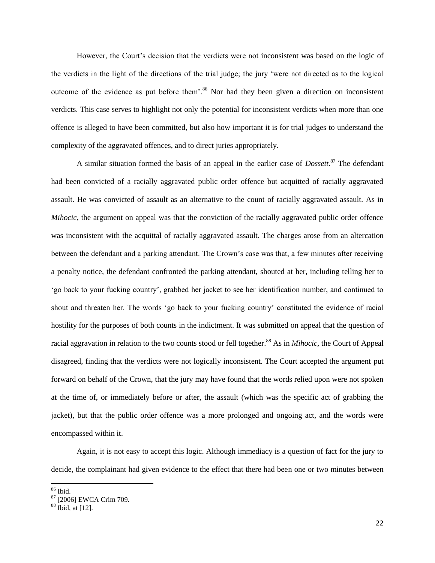However, the Court's decision that the verdicts were not inconsistent was based on the logic of the verdicts in the light of the directions of the trial judge; the jury 'were not directed as to the logical outcome of the evidence as put before them'.<sup>86</sup> Nor had they been given a direction on inconsistent verdicts. This case serves to highlight not only the potential for inconsistent verdicts when more than one offence is alleged to have been committed, but also how important it is for trial judges to understand the complexity of the aggravated offences, and to direct juries appropriately.

A similar situation formed the basis of an appeal in the earlier case of *Dossett*. <sup>87</sup> The defendant had been convicted of a racially aggravated public order offence but acquitted of racially aggravated assault. He was convicted of assault as an alternative to the count of racially aggravated assault. As in *Mihocic*, the argument on appeal was that the conviction of the racially aggravated public order offence was inconsistent with the acquittal of racially aggravated assault. The charges arose from an altercation between the defendant and a parking attendant. The Crown's case was that, a few minutes after receiving a penalty notice, the defendant confronted the parking attendant, shouted at her, including telling her to 'go back to your fucking country', grabbed her jacket to see her identification number, and continued to shout and threaten her. The words 'go back to your fucking country' constituted the evidence of racial hostility for the purposes of both counts in the indictment. It was submitted on appeal that the question of racial aggravation in relation to the two counts stood or fell together.<sup>88</sup> As in *Mihocic*, the Court of Appeal disagreed, finding that the verdicts were not logically inconsistent. The Court accepted the argument put forward on behalf of the Crown, that the jury may have found that the words relied upon were not spoken at the time of, or immediately before or after, the assault (which was the specific act of grabbing the jacket), but that the public order offence was a more prolonged and ongoing act, and the words were encompassed within it.

Again, it is not easy to accept this logic. Although immediacy is a question of fact for the jury to decide, the complainant had given evidence to the effect that there had been one or two minutes between

<sup>86</sup> Ibid.

<sup>&</sup>lt;sup>87</sup> [2006] EWCA Crim 709.

 $88$  Ibid, at [12].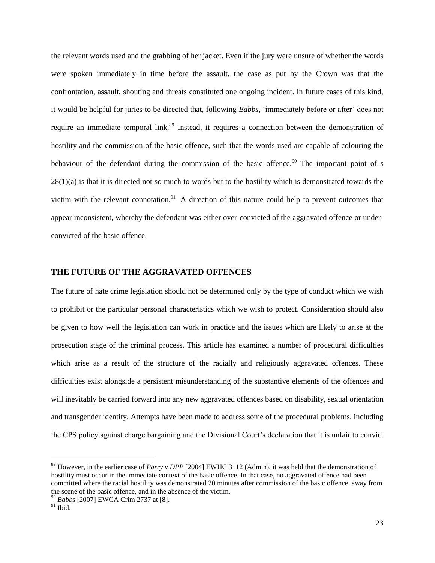the relevant words used and the grabbing of her jacket. Even if the jury were unsure of whether the words were spoken immediately in time before the assault, the case as put by the Crown was that the confrontation, assault, shouting and threats constituted one ongoing incident. In future cases of this kind, it would be helpful for juries to be directed that, following *Babbs*, 'immediately before or after' does not require an immediate temporal link.<sup>89</sup> Instead, it requires a connection between the demonstration of hostility and the commission of the basic offence, such that the words used are capable of colouring the behaviour of the defendant during the commission of the basic offence.<sup>90</sup> The important point of s  $28(1)(a)$  is that it is directed not so much to words but to the hostility which is demonstrated towards the victim with the relevant connotation.<sup>91</sup> A direction of this nature could help to prevent outcomes that appear inconsistent, whereby the defendant was either over-convicted of the aggravated offence or underconvicted of the basic offence.

#### **THE FUTURE OF THE AGGRAVATED OFFENCES**

The future of hate crime legislation should not be determined only by the type of conduct which we wish to prohibit or the particular personal characteristics which we wish to protect. Consideration should also be given to how well the legislation can work in practice and the issues which are likely to arise at the prosecution stage of the criminal process. This article has examined a number of procedural difficulties which arise as a result of the structure of the racially and religiously aggravated offences. These difficulties exist alongside a persistent misunderstanding of the substantive elements of the offences and will inevitably be carried forward into any new aggravated offences based on disability, sexual orientation and transgender identity. Attempts have been made to address some of the procedural problems, including the CPS policy against charge bargaining and the Divisional Court's declaration that it is unfair to convict

l

<sup>89</sup> However, in the earlier case of *Parry v DPP* [2004] EWHC 3112 (Admin), it was held that the demonstration of hostility must occur in the immediate context of the basic offence. In that case, no aggravated offence had been committed where the racial hostility was demonstrated 20 minutes after commission of the basic offence, away from the scene of the basic offence, and in the absence of the victim.

<sup>90</sup> *Babbs* [2007] EWCA Crim 2737 at [8].

 $91$  Ibid.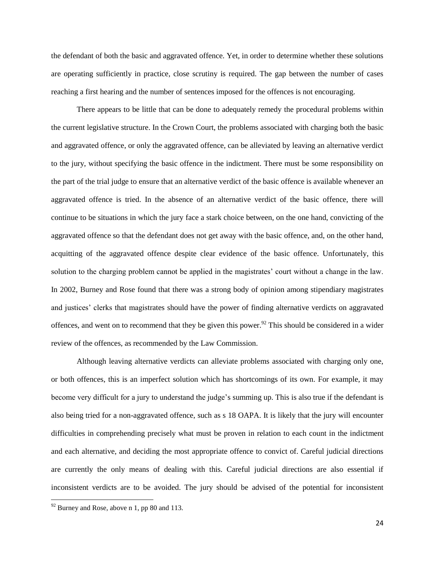the defendant of both the basic and aggravated offence. Yet, in order to determine whether these solutions are operating sufficiently in practice, close scrutiny is required. The gap between the number of cases reaching a first hearing and the number of sentences imposed for the offences is not encouraging.

There appears to be little that can be done to adequately remedy the procedural problems within the current legislative structure. In the Crown Court, the problems associated with charging both the basic and aggravated offence, or only the aggravated offence, can be alleviated by leaving an alternative verdict to the jury, without specifying the basic offence in the indictment. There must be some responsibility on the part of the trial judge to ensure that an alternative verdict of the basic offence is available whenever an aggravated offence is tried. In the absence of an alternative verdict of the basic offence, there will continue to be situations in which the jury face a stark choice between, on the one hand, convicting of the aggravated offence so that the defendant does not get away with the basic offence, and, on the other hand, acquitting of the aggravated offence despite clear evidence of the basic offence. Unfortunately, this solution to the charging problem cannot be applied in the magistrates' court without a change in the law. In 2002, Burney and Rose found that there was a strong body of opinion among stipendiary magistrates and justices' clerks that magistrates should have the power of finding alternative verdicts on aggravated offences, and went on to recommend that they be given this power.<sup>92</sup> This should be considered in a wider review of the offences, as recommended by the Law Commission.

Although leaving alternative verdicts can alleviate problems associated with charging only one, or both offences, this is an imperfect solution which has shortcomings of its own. For example, it may become very difficult for a jury to understand the judge's summing up. This is also true if the defendant is also being tried for a non-aggravated offence, such as s 18 OAPA. It is likely that the jury will encounter difficulties in comprehending precisely what must be proven in relation to each count in the indictment and each alternative, and deciding the most appropriate offence to convict of. Careful judicial directions are currently the only means of dealing with this. Careful judicial directions are also essential if inconsistent verdicts are to be avoided. The jury should be advised of the potential for inconsistent

 $92$  Burney and Rose, above n 1, pp 80 and 113.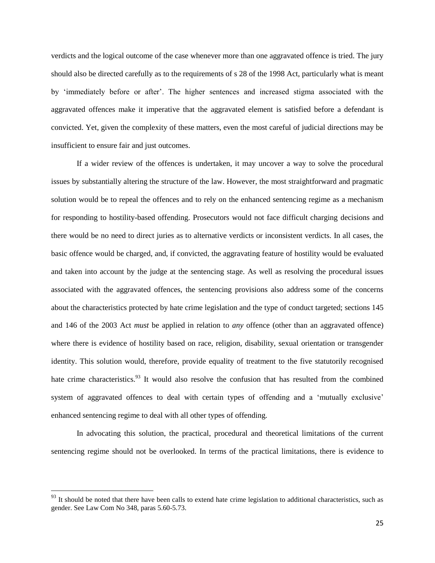verdicts and the logical outcome of the case whenever more than one aggravated offence is tried. The jury should also be directed carefully as to the requirements of s 28 of the 1998 Act, particularly what is meant by 'immediately before or after'. The higher sentences and increased stigma associated with the aggravated offences make it imperative that the aggravated element is satisfied before a defendant is convicted. Yet, given the complexity of these matters, even the most careful of judicial directions may be insufficient to ensure fair and just outcomes.

If a wider review of the offences is undertaken, it may uncover a way to solve the procedural issues by substantially altering the structure of the law. However, the most straightforward and pragmatic solution would be to repeal the offences and to rely on the enhanced sentencing regime as a mechanism for responding to hostility-based offending. Prosecutors would not face difficult charging decisions and there would be no need to direct juries as to alternative verdicts or inconsistent verdicts. In all cases, the basic offence would be charged, and, if convicted, the aggravating feature of hostility would be evaluated and taken into account by the judge at the sentencing stage. As well as resolving the procedural issues associated with the aggravated offences, the sentencing provisions also address some of the concerns about the characteristics protected by hate crime legislation and the type of conduct targeted; sections 145 and 146 of the 2003 Act *must* be applied in relation to *any* offence (other than an aggravated offence) where there is evidence of hostility based on race, religion, disability, sexual orientation or transgender identity. This solution would, therefore, provide equality of treatment to the five statutorily recognised hate crime characteristics.<sup>93</sup> It would also resolve the confusion that has resulted from the combined system of aggravated offences to deal with certain types of offending and a 'mutually exclusive' enhanced sentencing regime to deal with all other types of offending.

In advocating this solution, the practical, procedural and theoretical limitations of the current sentencing regime should not be overlooked. In terms of the practical limitations, there is evidence to

 $93$  It should be noted that there have been calls to extend hate crime legislation to additional characteristics, such as gender. See Law Com No 348, paras 5.60-5.73.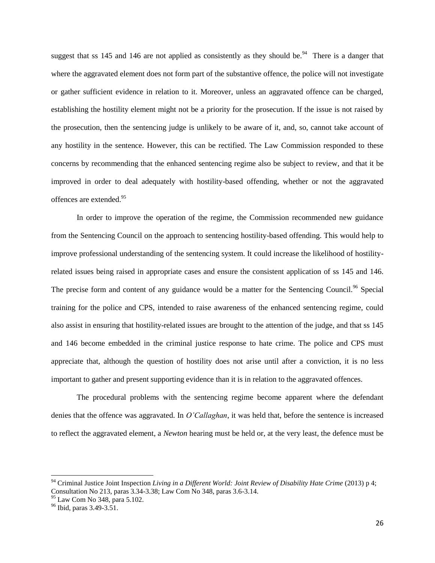suggest that ss 145 and 146 are not applied as consistently as they should be.<sup>94</sup> There is a danger that where the aggravated element does not form part of the substantive offence, the police will not investigate or gather sufficient evidence in relation to it. Moreover, unless an aggravated offence can be charged, establishing the hostility element might not be a priority for the prosecution. If the issue is not raised by the prosecution, then the sentencing judge is unlikely to be aware of it, and, so, cannot take account of any hostility in the sentence. However, this can be rectified. The Law Commission responded to these concerns by recommending that the enhanced sentencing regime also be subject to review, and that it be improved in order to deal adequately with hostility-based offending, whether or not the aggravated offences are extended.<sup>95</sup>

In order to improve the operation of the regime, the Commission recommended new guidance from the Sentencing Council on the approach to sentencing hostility-based offending. This would help to improve professional understanding of the sentencing system. It could increase the likelihood of hostilityrelated issues being raised in appropriate cases and ensure the consistent application of ss 145 and 146. The precise form and content of any guidance would be a matter for the Sentencing Council.<sup>96</sup> Special training for the police and CPS, intended to raise awareness of the enhanced sentencing regime, could also assist in ensuring that hostility-related issues are brought to the attention of the judge, and that ss 145 and 146 become embedded in the criminal justice response to hate crime. The police and CPS must appreciate that, although the question of hostility does not arise until after a conviction, it is no less important to gather and present supporting evidence than it is in relation to the aggravated offences.

The procedural problems with the sentencing regime become apparent where the defendant denies that the offence was aggravated. In *O'Callaghan*, it was held that, before the sentence is increased to reflect the aggravated element, a *Newton* hearing must be held or, at the very least, the defence must be

<sup>&</sup>lt;sup>94</sup> Criminal Justice Joint Inspection *Living in a Different World: Joint Review of Disability Hate Crime* (2013) p 4; Consultation No 213, paras 3.34-3.38; Law Com No 348, paras 3.6-3.14.

<sup>&</sup>lt;sup>95</sup> Law Com No 348, para 5.102.

<sup>&</sup>lt;sup>96</sup> Ibid, paras 3.49-3.51.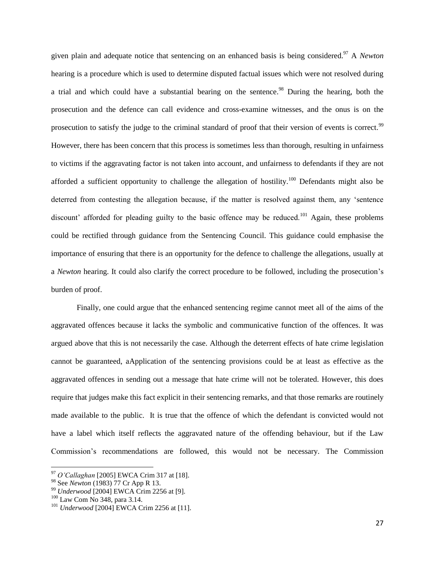given plain and adequate notice that sentencing on an enhanced basis is being considered.<sup>97</sup> A *Newton* hearing is a procedure which is used to determine disputed factual issues which were not resolved during a trial and which could have a substantial bearing on the sentence.<sup>98</sup> During the hearing, both the prosecution and the defence can call evidence and cross-examine witnesses, and the onus is on the prosecution to satisfy the judge to the criminal standard of proof that their version of events is correct.<sup>99</sup> However, there has been concern that this process is sometimes less than thorough, resulting in unfairness to victims if the aggravating factor is not taken into account, and unfairness to defendants if they are not afforded a sufficient opportunity to challenge the allegation of hostility.<sup>100</sup> Defendants might also be deterred from contesting the allegation because, if the matter is resolved against them, any 'sentence discount' afforded for pleading guilty to the basic offence may be reduced.<sup>101</sup> Again, these problems could be rectified through guidance from the Sentencing Council. This guidance could emphasise the importance of ensuring that there is an opportunity for the defence to challenge the allegations, usually at a *Newton* hearing. It could also clarify the correct procedure to be followed, including the prosecution's burden of proof.

Finally, one could argue that the enhanced sentencing regime cannot meet all of the aims of the aggravated offences because it lacks the symbolic and communicative function of the offences. It was argued above that this is not necessarily the case. Although the deterrent effects of hate crime legislation cannot be guaranteed, aApplication of the sentencing provisions could be at least as effective as the aggravated offences in sending out a message that hate crime will not be tolerated. However, this does require that judges make this fact explicit in their sentencing remarks, and that those remarks are routinely made available to the public. It is true that the offence of which the defendant is convicted would not have a label which itself reflects the aggravated nature of the offending behaviour, but if the Law Commission's recommendations are followed, this would not be necessary. The Commission

<sup>97</sup> *O'Callaghan* [2005] EWCA Crim 317 at [18].

<sup>98</sup> See *Newton* (1983) 77 Cr App R 13.

<sup>99</sup> *Underwood* [2004] EWCA Crim 2256 at [9].

<sup>100</sup> Law Com No 348, para 3.14.

<sup>101</sup> *Underwood* [2004] EWCA Crim 2256 at [11].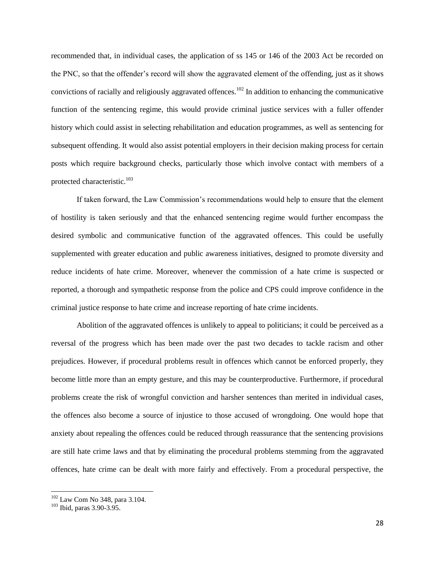recommended that, in individual cases, the application of ss 145 or 146 of the 2003 Act be recorded on the PNC, so that the offender's record will show the aggravated element of the offending, just as it shows convictions of racially and religiously aggravated offences.<sup>102</sup> In addition to enhancing the communicative function of the sentencing regime, this would provide criminal justice services with a fuller offender history which could assist in selecting rehabilitation and education programmes, as well as sentencing for subsequent offending. It would also assist potential employers in their decision making process for certain posts which require background checks, particularly those which involve contact with members of a protected characteristic.<sup>103</sup>

If taken forward, the Law Commission's recommendations would help to ensure that the element of hostility is taken seriously and that the enhanced sentencing regime would further encompass the desired symbolic and communicative function of the aggravated offences. This could be usefully supplemented with greater education and public awareness initiatives, designed to promote diversity and reduce incidents of hate crime. Moreover, whenever the commission of a hate crime is suspected or reported, a thorough and sympathetic response from the police and CPS could improve confidence in the criminal justice response to hate crime and increase reporting of hate crime incidents.

Abolition of the aggravated offences is unlikely to appeal to politicians; it could be perceived as a reversal of the progress which has been made over the past two decades to tackle racism and other prejudices. However, if procedural problems result in offences which cannot be enforced properly, they become little more than an empty gesture, and this may be counterproductive. Furthermore, if procedural problems create the risk of wrongful conviction and harsher sentences than merited in individual cases, the offences also become a source of injustice to those accused of wrongdoing. One would hope that anxiety about repealing the offences could be reduced through reassurance that the sentencing provisions are still hate crime laws and that by eliminating the procedural problems stemming from the aggravated offences, hate crime can be dealt with more fairly and effectively. From a procedural perspective, the

 $102$  Law Com No 348, para 3.104.

<sup>103</sup> Ibid, paras 3.90-3.95.